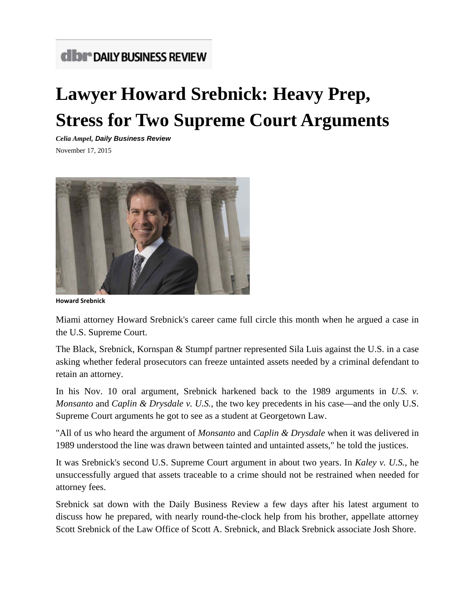# **CIDI<sup>®</sup> DAILY BUSINESS REVIEW**

# **Lawyer Howard Srebnick: Heavy Prep, Stress for Two Supreme Court Arguments**

*Celia Ampel, Daily Business Review*

November 17, 2015



**Howard Srebnick**

Miami attorney Howard Srebnick's career came full circle this month when he argued a case in the U.S. Supreme Court.

The Black, Srebnick, Kornspan & Stumpf partner represented Sila Luis against the U.S. in a case asking whether federal prosecutors can freeze untainted assets needed by a criminal defendant to retain an attorney.

In his Nov. 10 oral argument, Srebnick harkened back to the 1989 arguments in *U.S. v. Monsanto* and *Caplin & Drysdale v. U.S.*, the two key precedents in his case—and the only U.S. Supreme Court arguments he got to see as a student at Georgetown Law.

"All of us who heard the argument of *Monsanto* and *Caplin & Drysdale* when it was delivered in 1989 understood the line was drawn between tainted and untainted assets," he told the justices.

It was Srebnick's second U.S. Supreme Court argument in about two years. In *Kaley v. U.S.*, he unsuccessfully argued that assets traceable to a crime should not be restrained when needed for attorney fees.

Srebnick sat down with the Daily Business Review a few days after his latest argument to discuss how he prepared, with nearly round-the-clock help from his brother, appellate attorney Scott Srebnick of the Law Office of Scott A. Srebnick, and Black Srebnick associate Josh Shore.